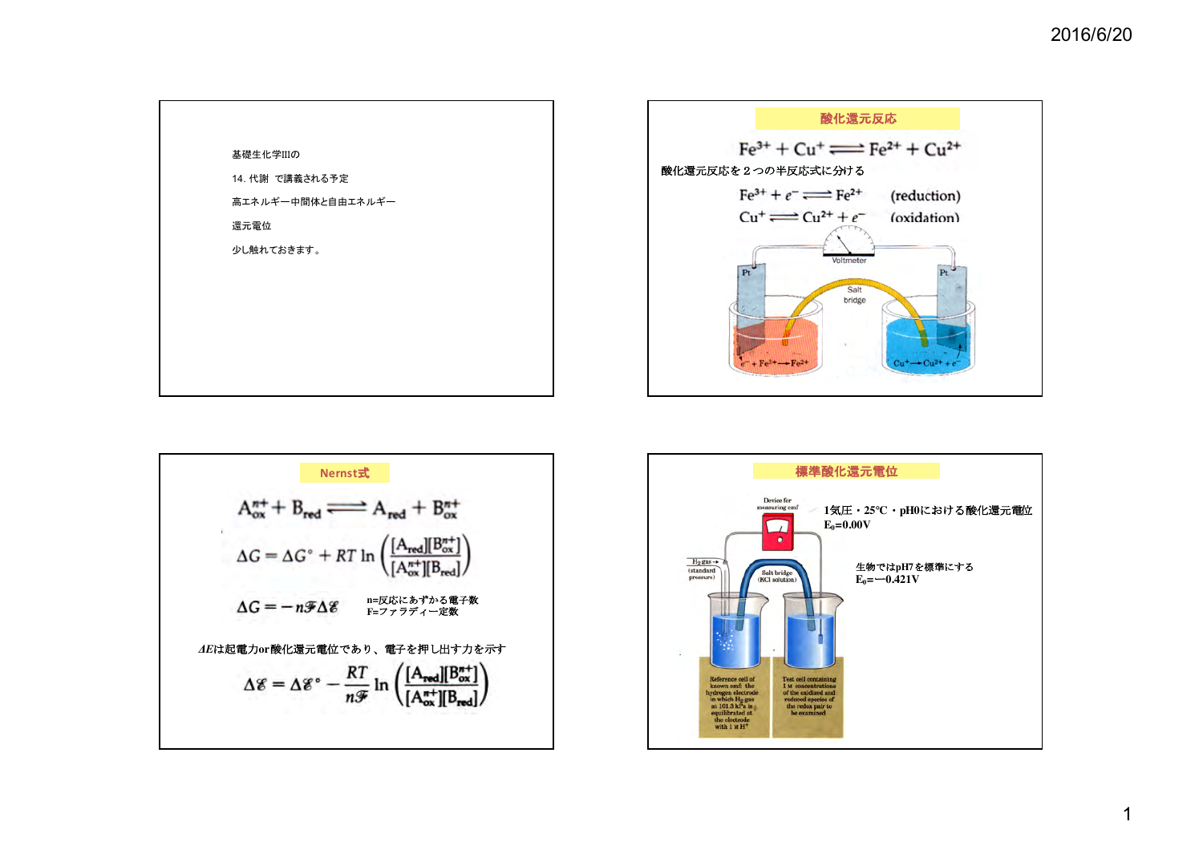





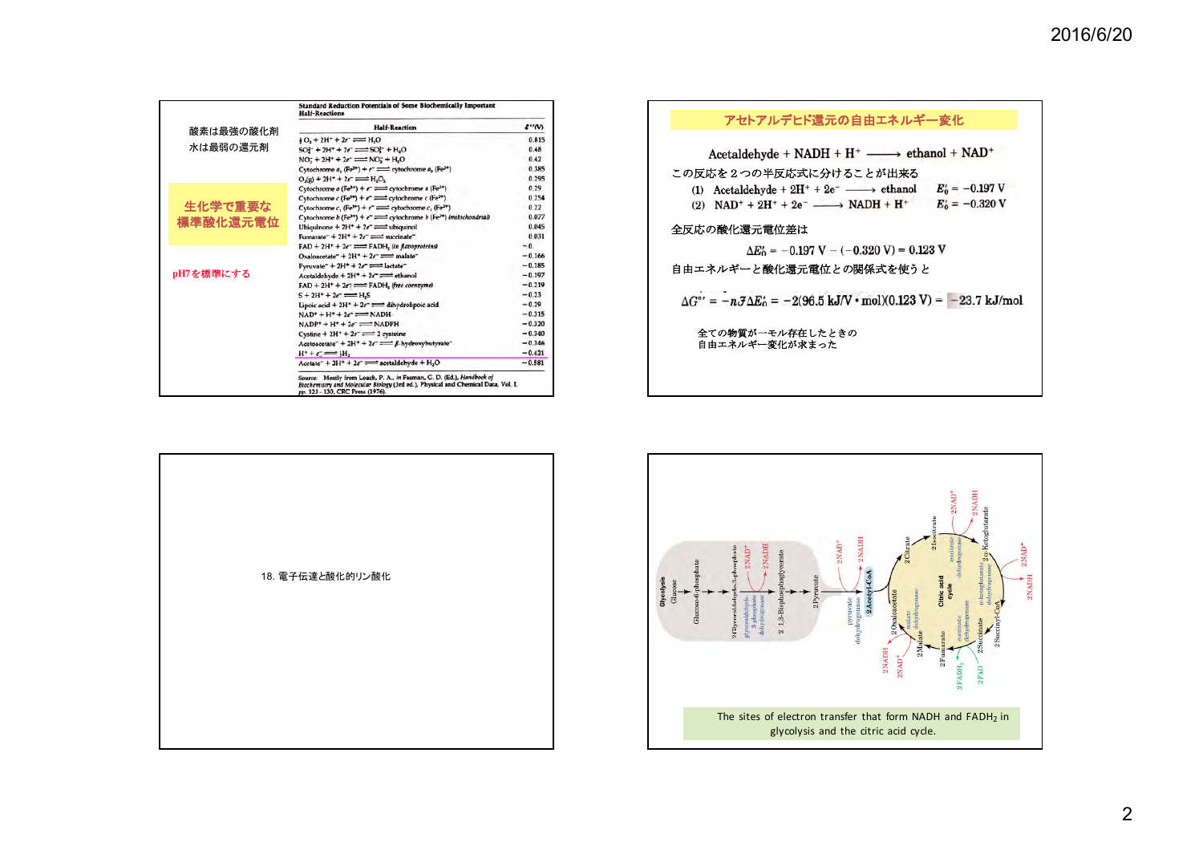|           | Standard Reduction Potentials of Some Biochemically Important<br><b>Half-Reactions</b>                                                                                                       |          |
|-----------|----------------------------------------------------------------------------------------------------------------------------------------------------------------------------------------------|----------|
| 酸素は最強の酸化剤 | <b>Half-Reaction</b>                                                                                                                                                                         | 6''(V)   |
|           | $+0, +2H^+ + 2e^- \rightleftharpoons H_2O$                                                                                                                                                   | 0.815    |
| 水は最弱の還元剤  | $SO_1^2$ + $2H^+$ + $2e^ \Longrightarrow$ $SO_1^2$ + $H_2O$                                                                                                                                  | 0.48     |
|           | $NO_7 + 2H^+ + 2e^-$ = $NO_7 + H_2O$                                                                                                                                                         | 0.42     |
|           | Cytochrome $a_1$ (Fe <sup>3+</sup> ) + $e^-$ = cytochrome $a_3$ (Fe <sup>2+</sup> )                                                                                                          | 0.385    |
|           | $O_2(g) + 2H^+ + 2e^- \implies H_2O_2$                                                                                                                                                       | 0.295    |
|           | Cytochrome a (Fe <sup>3+</sup> ) + $\epsilon$ = cytochrome a (Fe <sup>2+</sup> )                                                                                                             | 0.29     |
|           | Cytochrome c (Fe <sup>3+</sup> ) + $e^+$ = cytochrome c (Fe <sup>3+</sup> )                                                                                                                  | 0.254    |
| 生化学で重要な   | Cytochrome c, (Fe <sup>3+</sup> ) + $e^-$ = cytochrome c, (Fe <sup>2+</sup> )                                                                                                                | 0.22     |
|           | Cytochrome b (Fe <sup>3+</sup> ) + $e^-$ = cytochrome b (Fe <sup>2+</sup> ) (mitochondrial)                                                                                                  | 0.077    |
| 標準酸化還元電位  | Ubiquinone + $2H^* + 2e^-$ = ubiquinol                                                                                                                                                       | 0.045    |
|           | Fumarate $+2H+2e^-$ = succinate                                                                                                                                                              | 0.031    |
| pH7を標準にする | $FAD + 2H^* + 2e^- \rightleftharpoons$ FADH, (in flavoproteins)                                                                                                                              | $-0.$    |
|           | Oxaloacetate + $2H^* + 2e^-$ = malate                                                                                                                                                        | $-0.166$ |
|           | Pyruvate <sup>-</sup> + $2H^+$ + $2e^-$ = lactate <sup>-</sup>                                                                                                                               | $-0.185$ |
|           | Acetaldehyde + $2H^* + 2e^-$ = ethanol                                                                                                                                                       | $-0.197$ |
|           | $FAD + 2H^+ + 2e^- \rightleftharpoons$ $FADH_2$ (free coenzyme)                                                                                                                              | $-0.219$ |
|           | $S + 2H^* + 2e^- \rightleftharpoons H.S$                                                                                                                                                     | $-0.23$  |
|           | Lipoic acid + $2H^* + 2e^-$ = dihydrolipoic acid                                                                                                                                             | $-0.29$  |
|           | $NAD^* + H^* + 2e^- \rightleftharpoons NADH$                                                                                                                                                 | $-0.315$ |
|           | $NADP^+ + H^+ + 2e^- \rightleftharpoons NADPH$                                                                                                                                               | $-0.320$ |
|           | Cystine + $2H^+$ + $2e^-$ = 2 cysteine                                                                                                                                                       | $-0.340$ |
|           | Acetoacetate <sup>-</sup> + 2H <sup>+</sup> + 2e <sup>-</sup> $\Longrightarrow$ $\beta$ -hydroxybutyrate <sup>-</sup>                                                                        | $-0.346$ |
|           | $H^* + C \rightleftharpoons H$                                                                                                                                                               | $-0.421$ |
|           | Acetate + $3H^* + 2e^-$ = acetaldehyde + $H_2O$                                                                                                                                              | $-0.581$ |
|           | Source: Mostly from Loach, P. A., in Fasman, G. D. (Ed.), Handbook of<br>Biochemistry and Molecular Biology (3rd ed.), Physical and Chemical Data, Vol. I,<br>pp. 123-130, CRC Press (1976). |          |

| $\Delta G^{\circ'} = -n \mathcal{J} \Delta E_0' = -2(96.5 \text{ kJ/V} \cdot \text{mol})(0.123 \text{ V}) = -23.7 \text{ kJ/mol}$ |
|-----------------------------------------------------------------------------------------------------------------------------------|
|                                                                                                                                   |
|                                                                                                                                   |
|                                                                                                                                   |
|                                                                                                                                   |

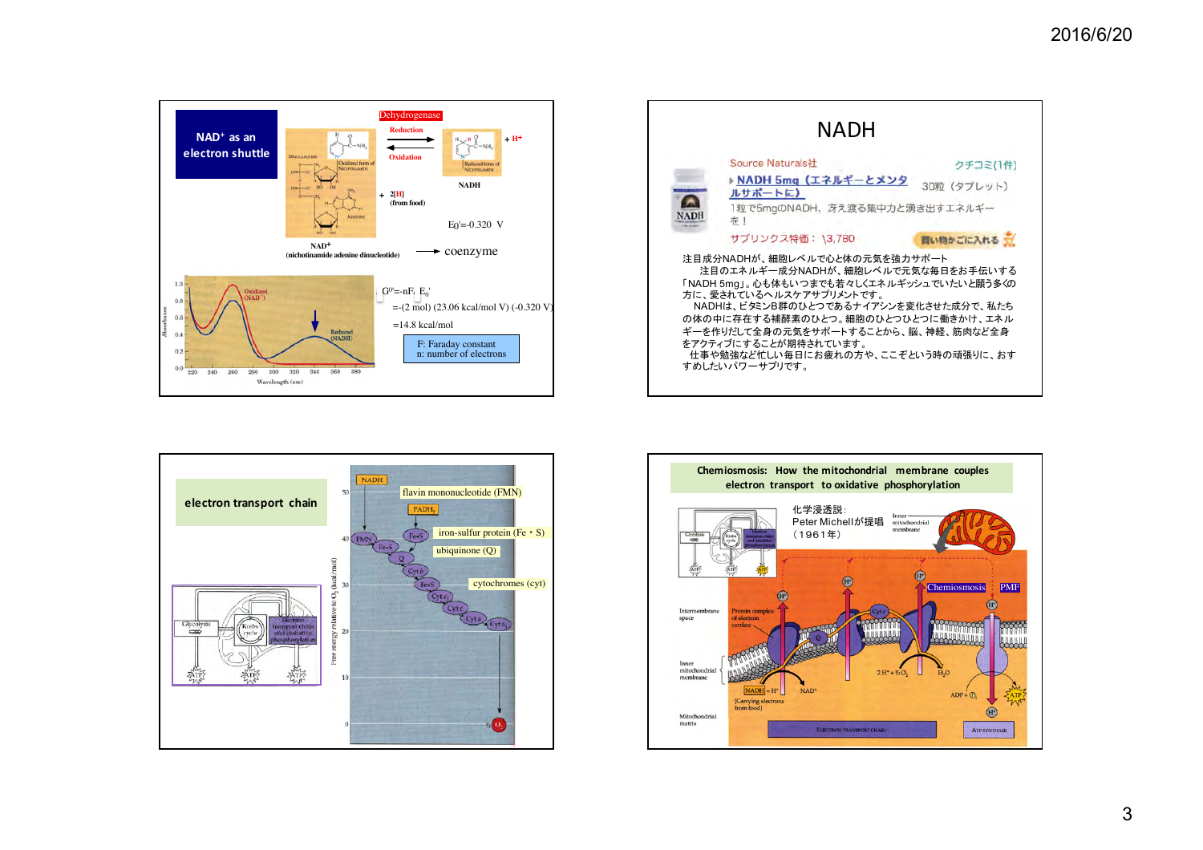





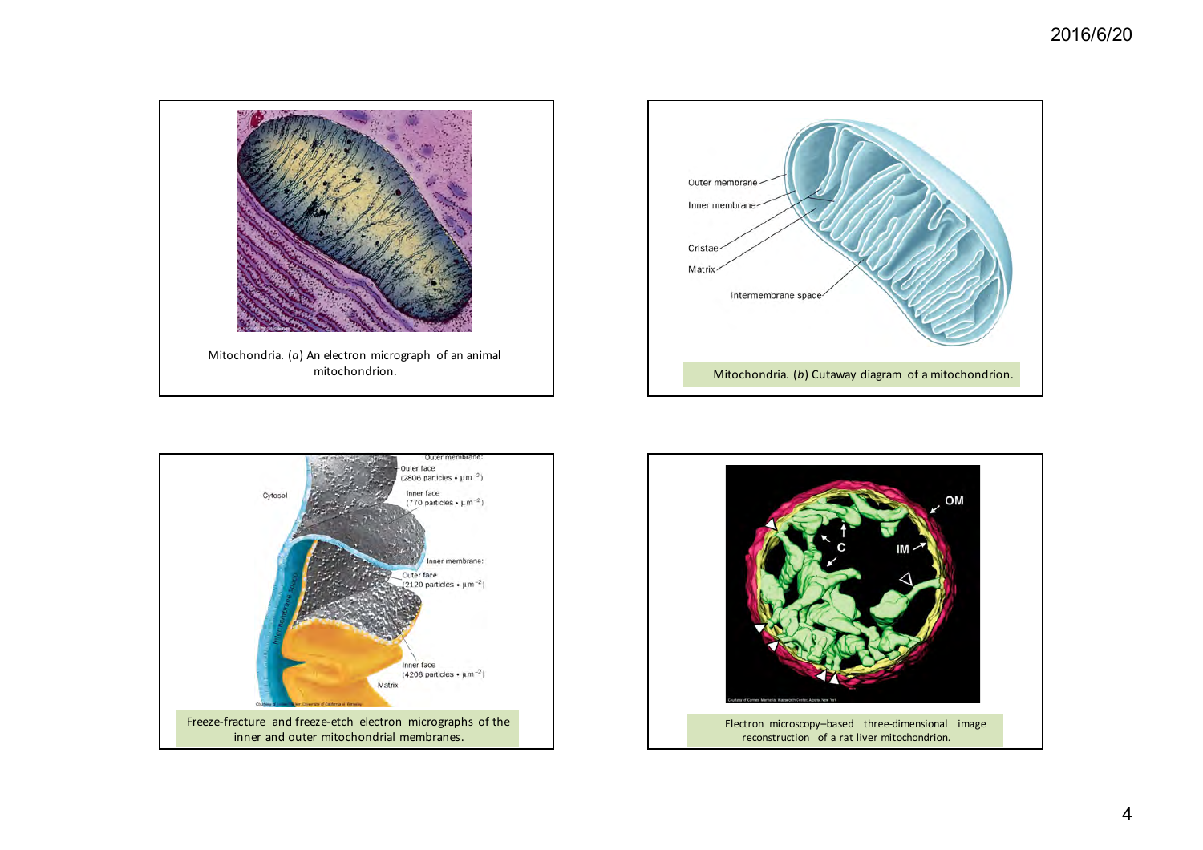





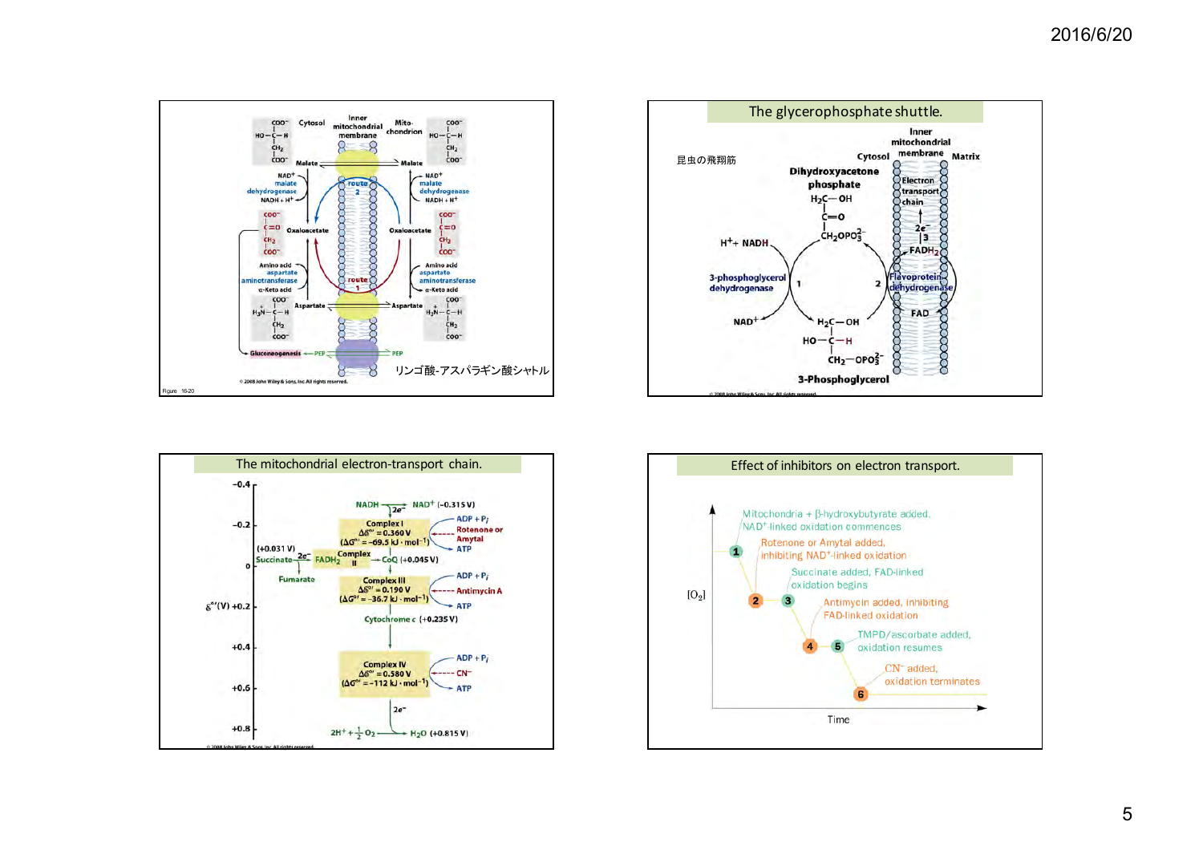





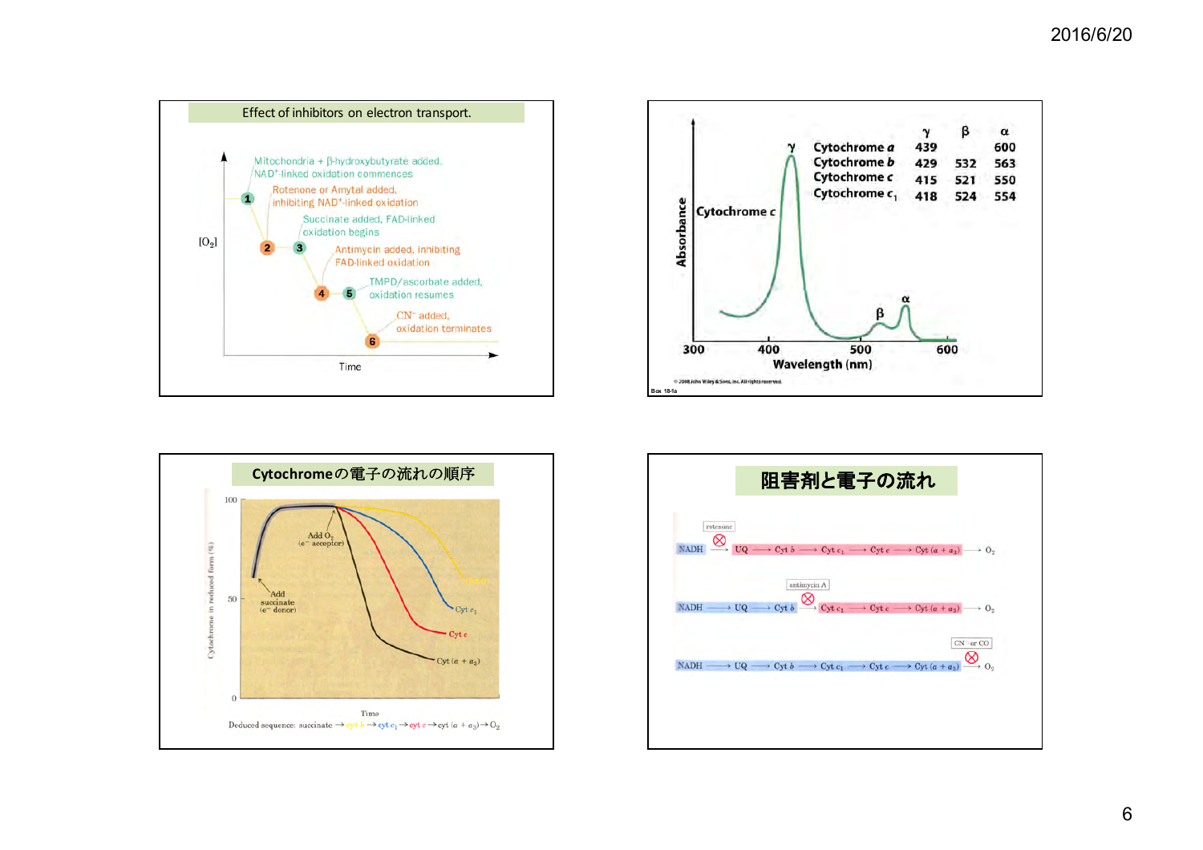





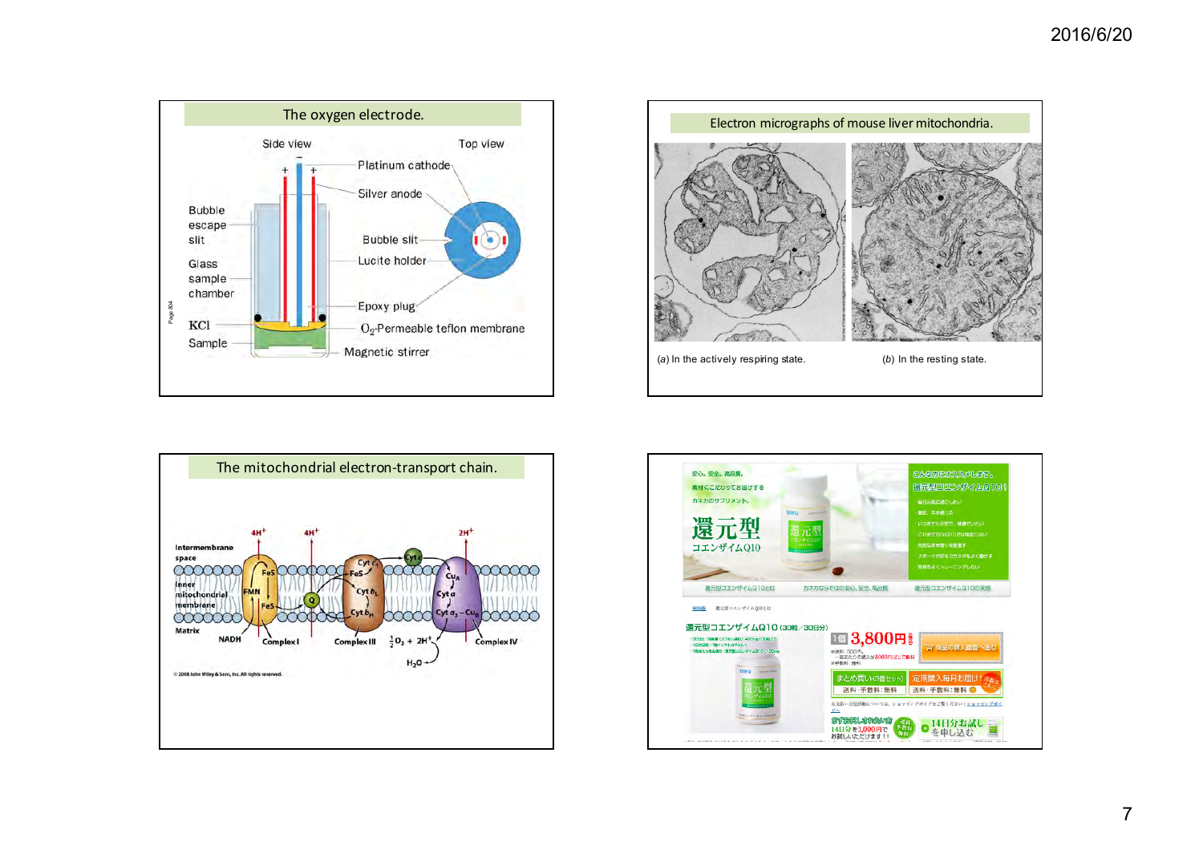